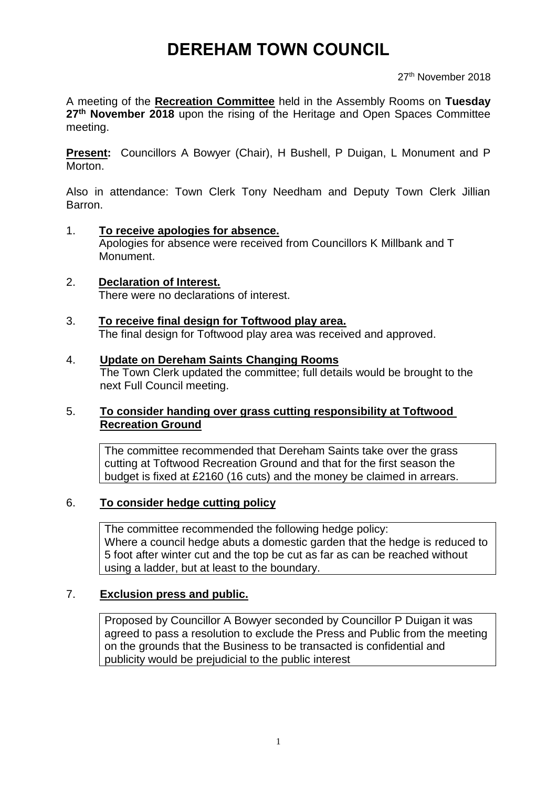# **DEREHAM TOWN COUNCIL**

27<sup>th</sup> November 2018

A meeting of the **Recreation Committee** held in the Assembly Rooms on **Tuesday 27th November 2018** upon the rising of the Heritage and Open Spaces Committee meeting.

**Present:** Councillors A Bowyer (Chair), H Bushell, P Duigan, L Monument and P Morton.

Also in attendance: Town Clerk Tony Needham and Deputy Town Clerk Jillian Barron.

- 1. **To receive apologies for absence.** Apologies for absence were received from Councillors K Millbank and T Monument.
- 2. **Declaration of Interest.** There were no declarations of interest.
- 3. **To receive final design for Toftwood play area.** The final design for Toftwood play area was received and approved.

#### 4. **Update on Dereham Saints Changing Rooms**

The Town Clerk updated the committee; full details would be brought to the next Full Council meeting.

#### 5. **To consider handing over grass cutting responsibility at Toftwood Recreation Ground**

The committee recommended that Dereham Saints take over the grass cutting at Toftwood Recreation Ground and that for the first season the budget is fixed at £2160 (16 cuts) and the money be claimed in arrears.

#### 6. **To consider hedge cutting policy**

The committee recommended the following hedge policy: Where a council hedge abuts a domestic garden that the hedge is reduced to 5 foot after winter cut and the top be cut as far as can be reached without using a ladder, but at least to the boundary.

#### 7. **Exclusion press and public.**

Proposed by Councillor A Bowyer seconded by Councillor P Duigan it was agreed to pass a resolution to exclude the Press and Public from the meeting on the grounds that the Business to be transacted is confidential and publicity would be prejudicial to the public interest